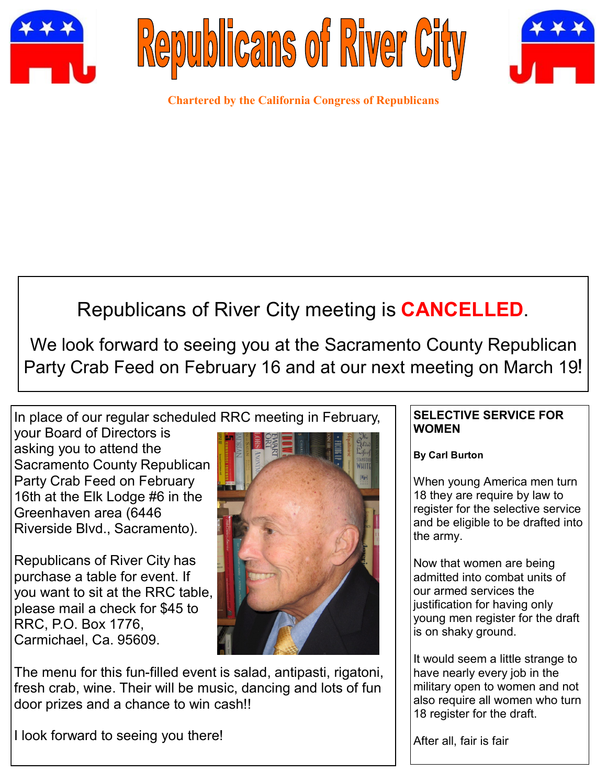





**Chartered by the California Congress of Republicans**

# Republicans of River City meeting is **CANCELLED**.

We look forward to seeing you at the Sacramento County Republican Party Crab Feed on February 16 and at our next meeting on March 19!

In place of our regular scheduled RRC meeting in February,

your Board of Directors is asking you to attend the Sacramento County Republican Party Crab Feed on February 16th at the Elk Lodge #6 in the Greenhaven area (6446 Riverside Blvd., Sacramento).

Republicans of River City has purchase a table for event. If you want to sit at the RRC table, please mail a check for \$45 to RRC, P.O. Box 1776, Carmichael, Ca. 95609.



The menu for this fun-filled event is salad, antipasti, rigatoni, fresh crab, wine. Their will be music, dancing and lots of fun door prizes and a chance to win cash!!

I look forward to seeing you there!

### **SELECTIVE SERVICE FOR WOMEN**

**By Carl Burton**

When young America men turn 18 they are require by law to register for the selective service and be eligible to be drafted into the army.

Now that women are being admitted into combat units of our armed services the justification for having only young men register for the draft is on shaky ground.

It would seem a little strange to have nearly every job in the military open to women and not also require all women who turn 18 register for the draft.

After all, fair is fair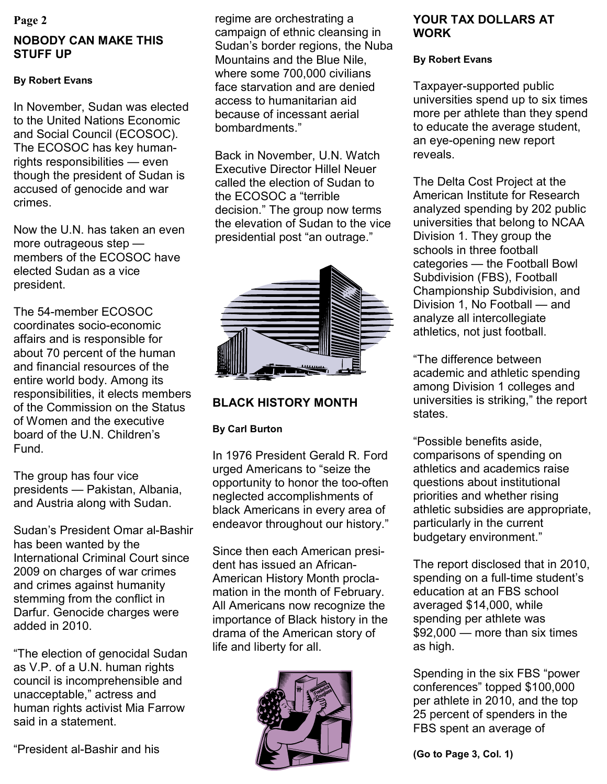### **Page 2**

## **NOBODY CAN MAKE THIS STUFF UP**

### **By Robert Evans**

In November, Sudan was elected to the United Nations Economic and Social Council (ECOSOC). The ECOSOC has key humanrights responsibilities — even though the president of Sudan is accused of genocide and war crimes.

Now the U.N. has taken an even more outrageous step members of the ECOSOC have elected Sudan as a vice president.

The 54-member ECOSOC coordinates socio-economic affairs and is responsible for about 70 percent of the human and financial resources of the entire world body. Among its responsibilities, it elects members of the Commission on the Status of Women and the executive board of the U.N. Children's Fund.

The group has four vice presidents — Pakistan, Albania, and Austria along with Sudan.

Sudan's President Omar al-Bashir has been wanted by the International Criminal Court since 2009 on charges of war crimes and crimes against humanity stemming from the conflict in Darfur. Genocide charges were added in 2010.

"The election of genocidal Sudan as V.P. of a U.N. human rights council is incomprehensible and unacceptable," actress and human rights activist Mia Farrow said in a statement.

regime are orchestrating a campaign of ethnic cleansing in Sudan's border regions, the Nuba Mountains and the Blue Nile, where some 700,000 civilians face starvation and are denied access to humanitarian aid because of incessant aerial bombardments."

Back in November, U.N. Watch Executive Director Hillel Neuer called the election of Sudan to the ECOSOC a "terrible decision." The group now terms the elevation of Sudan to the vice presidential post "an outrage."



### **BLACK HISTORY MONTH**

### **By Carl Burton**

In 1976 President Gerald R. Ford urged Americans to "seize the opportunity to honor the too-often neglected accomplishments of black Americans in every area of endeavor throughout our history."

Since then each American president has issued an African-American History Month proclamation in the month of February. All Americans now recognize the importance of Black history in the drama of the American story of life and liberty for all.



### **YOUR TAX DOLLARS AT WORK**

### **By Robert Evans**

Taxpayer-supported public universities spend up to six times more per athlete than they spend to educate the average student, an eye-opening new report reveals.

The Delta Cost Project at the American Institute for Research analyzed spending by 202 public universities that belong to NCAA Division 1. They group the schools in three football categories — the Football Bowl Subdivision (FBS), Football Championship Subdivision, and Division 1, No Football — and analyze all intercollegiate athletics, not just football.

"The difference between academic and athletic spending among Division 1 colleges and universities is striking," the report states.

"Possible benefits aside, comparisons of spending on athletics and academics raise questions about institutional priorities and whether rising athletic subsidies are appropriate, particularly in the current budgetary environment."

The report disclosed that in 2010, spending on a full-time student's education at an FBS school averaged \$14,000, while spending per athlete was \$92,000 — more than six times as high.

Spending in the six FBS "power conferences" topped \$100,000 per athlete in 2010, and the top 25 percent of spenders in the FBS spent an average of

**(Go to Page 3, Col. 1)**

"President al-Bashir and his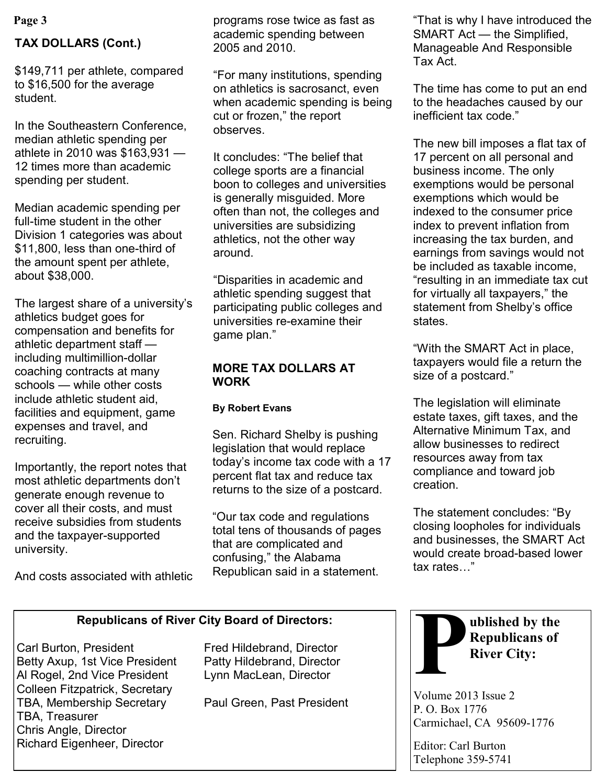### **TAX DOLLARS (Cont.)**

\$149,711 per athlete, compared to \$16,500 for the average student.

In the Southeastern Conference, median athletic spending per athlete in 2010 was \$163,931 — 12 times more than academic spending per student.

Median academic spending per full-time student in the other Division 1 categories was about \$11,800, less than one-third of the amount spent per athlete, about \$38,000.

The largest share of a university's athletics budget goes for compensation and benefits for athletic department staff including multimillion-dollar coaching contracts at many schools — while other costs include athletic student aid, facilities and equipment, game expenses and travel, and recruiting.

Importantly, the report notes that most athletic departments don't generate enough revenue to cover all their costs, and must receive subsidies from students and the taxpayer-supported university.

And costs associated with athletic

programs rose twice as fast as academic spending between 2005 and 2010.

"For many institutions, spending on athletics is sacrosanct, even when academic spending is being cut or frozen," the report observes.

It concludes: "The belief that college sports are a financial boon to colleges and universities is generally misguided. More often than not, the colleges and universities are subsidizing athletics, not the other way around.

"Disparities in academic and athletic spending suggest that participating public colleges and universities re-examine their game plan."

### **MORE TAX DOLLARS AT WORK**

### **By Robert Evans**

Sen. Richard Shelby is pushing legislation that would replace today's income tax code with a 17 percent flat tax and reduce tax returns to the size of a postcard.

"Our tax code and regulations total tens of thousands of pages that are complicated and confusing," the Alabama Republican said in a statement.

**Page 3** That is why I have introduced the programs rose twice as fast as That is why I have introduced the SMART Act — the Simplified, Manageable And Responsible Tax Act.

> The time has come to put an end to the headaches caused by our inefficient tax code."

The new bill imposes a flat tax of 17 percent on all personal and business income. The only exemptions would be personal exemptions which would be indexed to the consumer price index to prevent inflation from increasing the tax burden, and earnings from savings would not be included as taxable income, "resulting in an immediate tax cut for virtually all taxpayers," the statement from Shelby's office states.

"With the SMART Act in place, taxpayers would file a return the size of a postcard."

The legislation will eliminate estate taxes, gift taxes, and the Alternative Minimum Tax, and allow businesses to redirect resources away from tax compliance and toward job creation.

The statement concludes: "By closing loopholes for individuals and businesses, the SMART Act would create broad-based lower tax rates…"

### **Republicans of River City Board of Directors:**

Carl Burton, President Fred Hildebrand, Director Betty Axup, 1st Vice President Patty Hildebrand, Director Al Rogel, 2nd Vice President Lynn MacLean, Director Colleen Fitzpatrick, Secretary TBA, Membership Secretary Paul Green, Past President TBA, Treasurer Chris Angle, Director Richard Eigenheer, Director



Volume 2013 Issue 2 P. O. Box 1776 Carmichael, CA 95609-1776

Editor: Carl Burton Telephone 359-5741